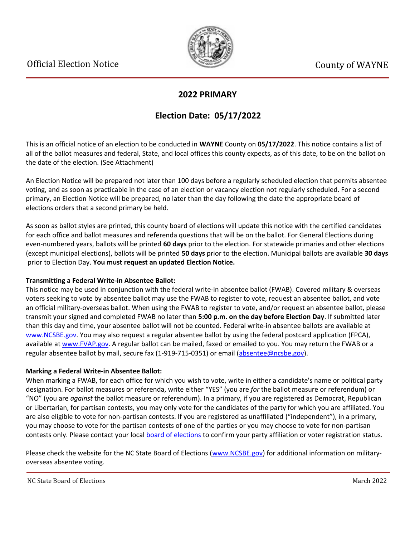

### **2022 PRIMARY**

## **Election Date: 05/17/2022**

This is an official notice of an election to be conducted in **WAYNE** County on **05/17/2022**. This notice contains a list of all of the ballot measures and federal, State, and local offices this county expects, as of this date, to be on the ballot on the date of the election. (See Attachment)

An Election Notice will be prepared not later than 100 days before a regularly scheduled election that permits absentee voting, and as soon as practicable in the case of an election or vacancy election not regularly scheduled. For a second primary, an Election Notice will be prepared, no later than the day following the date the appropriate board of elections orders that a second primary be held.

As soon as ballot styles are printed, this county board of elections will update this notice with the certified candidates for each office and ballot measures and referenda questions that will be on the ballot. For General Elections during even-numbered years, ballots will be printed **60 days** prior to the election. For statewide primaries and other elections (except municipal elections), ballots will be printed **50 days** prior to the election. Municipal ballots are available **30 days** prior to Election Day. **You must request an updated Election Notice.**

#### **Transmitting a Federal Write-in Absentee Ballot:**

This notice may be used in conjunction with the federal write-in absentee ballot (FWAB). Covered military & overseas voters seeking to vote by absentee ballot may use the FWAB to register to vote, request an absentee ballot, and vote an official military-overseas ballot. When using the FWAB to register to vote, and/or request an absentee ballot, please transmit your signed and completed FWAB no later than **5:00 p.m. on the day before Election Day**. If submitted later than this day and time, your absentee ballot will not be counted. Federal write-in absentee ballots are available at [www.NCSBE.gov.](https://www.ncsbe.gov/) You may also request a regular absentee ballot by using the federal postcard application (FPCA), available at [www.FVAP.gov](https://www.fvap.gov/). A regular ballot can be mailed, faxed or emailed to you. You may return the FWAB or a regular absentee ballot by mail, secure fax (1-919-715-0351) or email (absentee@ncsbe.gov).

#### **Marking a Federal Write-in Absentee Ballot:**

When marking a FWAB, for each office for which you wish to vote, write in either a candidate's name or political party designation. For ballot measures or referenda, write either "YES" (you are *for* the ballot measure or referendum) or "NO" (you are *against* the ballot measure or referendum). In a primary, if you are registered as Democrat, Republican or Libertarian, for partisan contests, you may only vote for the candidates of the party for which you are affiliated. You are also eligible to vote for non-partisan contests. If you are registered as unaffiliated ("independent"), in a primary, you may choose to vote for the partisan contests of one of the parties or you may choose to vote for non-partisan contests only. Please contact your local [board of elections](https://vt.ncsbe.gov/BOEInfo/) to confirm your party affiliation or voter registration status.

Please check the website for the NC State Board of Elections ([www.NCSBE.gov\)](https://www.ncsbe.gov/) for additional information on militaryoverseas absentee voting.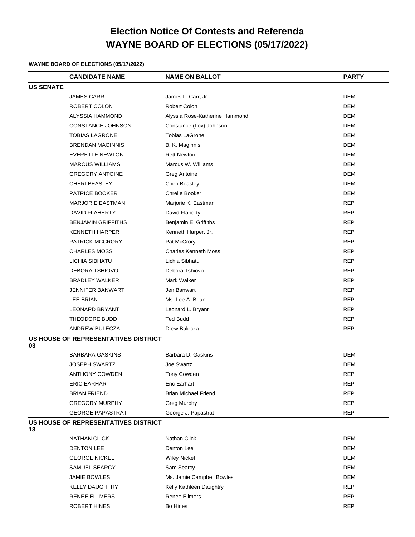# **Election Notice Of Contests and Referenda WAYNE BOARD OF ELECTIONS (05/17/2022)**

#### **WAYNE BOARD OF ELECTIONS (05/17/2022)**

|                                            | <b>CANDIDATE NAME</b>                | <b>NAME ON BALLOT</b>          | <b>PARTY</b> |  |
|--------------------------------------------|--------------------------------------|--------------------------------|--------------|--|
| <b>US SENATE</b>                           |                                      |                                |              |  |
|                                            | <b>JAMES CARR</b>                    | James L. Carr, Jr.             | <b>DEM</b>   |  |
|                                            | ROBERT COLON                         | <b>Robert Colon</b>            | DEM          |  |
|                                            | ALYSSIA HAMMOND                      | Alyssia Rose-Katherine Hammond | <b>DEM</b>   |  |
|                                            | <b>CONSTANCE JOHNSON</b>             | Constance (Lov) Johnson        | <b>DEM</b>   |  |
|                                            | <b>TOBIAS LAGRONE</b>                | <b>Tobias LaGrone</b>          | <b>DEM</b>   |  |
|                                            | <b>BRENDAN MAGINNIS</b>              | B. K. Maginnis                 | <b>DEM</b>   |  |
|                                            | <b>EVERETTE NEWTON</b>               | <b>Rett Newton</b>             | <b>DEM</b>   |  |
|                                            | <b>MARCUS WILLIAMS</b>               | Marcus W. Williams             | <b>DEM</b>   |  |
|                                            | <b>GREGORY ANTOINE</b>               | Greg Antoine                   | <b>DEM</b>   |  |
|                                            | <b>CHERI BEASLEY</b>                 | Cheri Beasley                  | <b>DEM</b>   |  |
|                                            | PATRICE BOOKER                       | Chrelle Booker                 | <b>DEM</b>   |  |
|                                            | <b>MARJORIE EASTMAN</b>              | Marjorie K. Eastman            | <b>REP</b>   |  |
|                                            | <b>DAVID FLAHERTY</b>                | David Flaherty                 | <b>REP</b>   |  |
|                                            | <b>BENJAMIN GRIFFITHS</b>            | Benjamin E. Griffiths          | <b>REP</b>   |  |
|                                            | <b>KENNETH HARPER</b>                | Kenneth Harper, Jr.            | <b>REP</b>   |  |
|                                            | <b>PATRICK MCCRORY</b>               | Pat McCrory                    | <b>REP</b>   |  |
|                                            | <b>CHARLES MOSS</b>                  | <b>Charles Kenneth Moss</b>    | <b>REP</b>   |  |
|                                            | LICHIA SIBHATU                       | Lichia Sibhatu                 | <b>REP</b>   |  |
|                                            | DEBORA TSHIOVO                       | Debora Tshiovo                 | <b>REP</b>   |  |
|                                            | <b>BRADLEY WALKER</b>                | Mark Walker                    | <b>REP</b>   |  |
|                                            | JENNIFER BANWART                     | Jen Banwart                    | <b>REP</b>   |  |
|                                            | <b>LEE BRIAN</b>                     | Ms. Lee A. Brian               | <b>REP</b>   |  |
|                                            | <b>LEONARD BRYANT</b>                | Leonard L. Bryant              | <b>REP</b>   |  |
|                                            | THEODORE BUDD                        | <b>Ted Budd</b>                | <b>REP</b>   |  |
|                                            | ANDREW BULECZA                       | Drew Bulecza                   | <b>REP</b>   |  |
| US HOUSE OF REPRESENTATIVES DISTRICT<br>03 |                                      |                                |              |  |
|                                            | <b>BARBARA GASKINS</b>               | Barbara D. Gaskins             | <b>DEM</b>   |  |
|                                            | <b>JOSEPH SWARTZ</b>                 | Joe Swartz                     | DEM          |  |
|                                            | ANTHONY COWDEN                       | Tony Cowden                    | <b>REP</b>   |  |
|                                            | <b>ERIC EARHART</b>                  | <b>Eric Earhart</b>            | <b>REP</b>   |  |
|                                            | <b>BRIAN FRIEND</b>                  | <b>Brian Michael Friend</b>    | <b>REP</b>   |  |
|                                            | <b>GREGORY MURPHY</b>                | <b>Greg Murphy</b>             | <b>REP</b>   |  |
|                                            | <b>GEORGE PAPASTRAT</b>              | George J. Papastrat            | <b>REP</b>   |  |
| 13                                         | US HOUSE OF REPRESENTATIVES DISTRICT |                                |              |  |
|                                            | <b>NATHAN CLICK</b>                  | Nathan Click                   | <b>DEM</b>   |  |
|                                            | <b>DENTON LEE</b>                    | Denton Lee                     | DEM          |  |
|                                            | <b>GEORGE NICKEL</b>                 | <b>Wiley Nickel</b>            | <b>DEM</b>   |  |
|                                            | SAMUEL SEARCY                        | Sam Searcy                     | <b>DEM</b>   |  |
|                                            | <b>JAMIE BOWLES</b>                  | Ms. Jamie Campbell Bowles      | <b>DEM</b>   |  |
|                                            | <b>KELLY DAUGHTRY</b>                | Kelly Kathleen Daughtry        | <b>REP</b>   |  |
|                                            | <b>RENEE ELLMERS</b>                 | Renee Ellmers                  | <b>REP</b>   |  |
|                                            | ROBERT HINES                         | Bo Hines                       | <b>REP</b>   |  |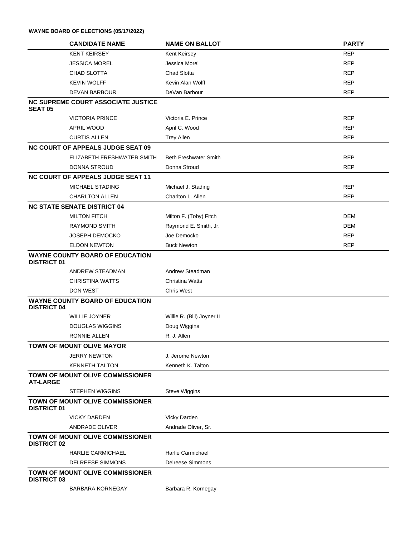|                                                               | <b>CANDIDATE NAME</b>                     | <b>NAME ON BALLOT</b>        | <b>PARTY</b> |  |
|---------------------------------------------------------------|-------------------------------------------|------------------------------|--------------|--|
|                                                               | <b>KENT KEIRSEY</b>                       | Kent Keirsey                 | <b>REP</b>   |  |
|                                                               | <b>JESSICA MOREL</b>                      | Jessica Morel                | <b>REP</b>   |  |
|                                                               | CHAD SLOTTA                               | <b>Chad Slotta</b>           | <b>REP</b>   |  |
|                                                               | <b>KEVIN WOLFF</b>                        | Kevin Alan Wolff             | <b>REP</b>   |  |
|                                                               | <b>DEVAN BARBOUR</b>                      | DeVan Barbour                | <b>REP</b>   |  |
| <b>SEAT 05</b>                                                | <b>NC SUPREME COURT ASSOCIATE JUSTICE</b> |                              |              |  |
|                                                               | <b>VICTORIA PRINCE</b>                    | Victoria E. Prince           | <b>REP</b>   |  |
|                                                               | APRIL WOOD                                | April C. Wood                | <b>REP</b>   |  |
|                                                               | <b>CURTIS ALLEN</b>                       | <b>Trey Allen</b>            | <b>REP</b>   |  |
|                                                               | <b>NC COURT OF APPEALS JUDGE SEAT 09</b>  |                              |              |  |
|                                                               | ELIZABETH FRESHWATER SMITH                | <b>Beth Freshwater Smith</b> | <b>REP</b>   |  |
|                                                               | DONNA STROUD                              | Donna Stroud                 | <b>REP</b>   |  |
|                                                               | <b>NC COURT OF APPEALS JUDGE SEAT 11</b>  |                              |              |  |
|                                                               | MICHAEL STADING                           | Michael J. Stading           | <b>REP</b>   |  |
|                                                               | <b>CHARLTON ALLEN</b>                     | Charlton L. Allen            | <b>REP</b>   |  |
|                                                               | <b>NC STATE SENATE DISTRICT 04</b>        |                              |              |  |
|                                                               | <b>MILTON FITCH</b>                       | Milton F. (Toby) Fitch       | <b>DEM</b>   |  |
|                                                               | <b>RAYMOND SMITH</b>                      | Raymond E. Smith, Jr.        | DEM          |  |
|                                                               | <b>JOSEPH DEMOCKO</b>                     | Joe Democko                  | REP          |  |
|                                                               | <b>ELDON NEWTON</b>                       | <b>Buck Newton</b>           | <b>REP</b>   |  |
| <b>WAYNE COUNTY BOARD OF EDUCATION</b><br><b>DISTRICT 01</b>  |                                           |                              |              |  |
|                                                               | ANDREW STEADMAN                           | Andrew Steadman              |              |  |
|                                                               | <b>CHRISTINA WATTS</b>                    | <b>Christina Watts</b>       |              |  |
|                                                               | <b>DON WEST</b>                           | <b>Chris West</b>            |              |  |
| <b>DISTRICT 04</b>                                            | <b>WAYNE COUNTY BOARD OF EDUCATION</b>    |                              |              |  |
|                                                               | <b>WILLIE JOYNER</b>                      | Willie R. (Bill) Joyner II   |              |  |
|                                                               | <b>DOUGLAS WIGGINS</b>                    | Doug Wiggins                 |              |  |
|                                                               | RONNIE ALLEN                              | R. J. Allen                  |              |  |
|                                                               | <b>TOWN OF MOUNT OLIVE MAYOR</b>          |                              |              |  |
|                                                               | <b>JERRY NEWTON</b>                       | J. Jerome Newton             |              |  |
|                                                               | <b>KENNETH TALTON</b>                     | Kenneth K. Talton            |              |  |
| <b>AT-LARGE</b>                                               | TOWN OF MOUNT OLIVE COMMISSIONER          |                              |              |  |
|                                                               | <b>STEPHEN WIGGINS</b>                    | <b>Steve Wiggins</b>         |              |  |
| <b>TOWN OF MOUNT OLIVE COMMISSIONER</b><br><b>DISTRICT 01</b> |                                           |                              |              |  |
|                                                               | <b>VICKY DARDEN</b>                       | Vicky Darden                 |              |  |
|                                                               | ANDRADE OLIVER                            | Andrade Oliver, Sr.          |              |  |
| TOWN OF MOUNT OLIVE COMMISSIONER<br><b>DISTRICT 02</b>        |                                           |                              |              |  |
|                                                               | <b>HARLIE CARMICHAEL</b>                  | Harlie Carmichael            |              |  |
|                                                               | <b>DELREESE SIMMONS</b>                   | <b>Delreese Simmons</b>      |              |  |
| <b>DISTRICT 03</b>                                            | TOWN OF MOUNT OLIVE COMMISSIONER          |                              |              |  |
|                                                               | BARBARA KORNEGAY                          | Barbara R. Kornegay          |              |  |